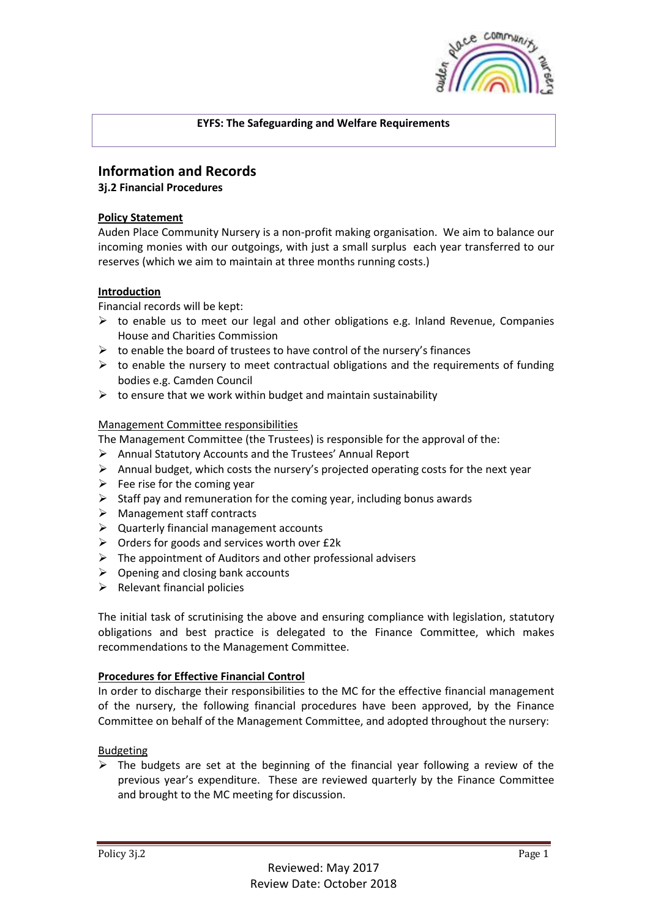

# **EYFS: The Safeguarding and Welfare Requirements**

# **Information and Records**

# **3j.2 Financial Procedures**

# **Policy Statement**

Auden Place Community Nursery is a non-profit making organisation. We aim to balance our incoming monies with our outgoings, with just a small surplus each year transferred to our reserves (which we aim to maintain at three months running costs.)

# **Introduction**

Financial records will be kept:

- $\triangleright$  to enable us to meet our legal and other obligations e.g. Inland Revenue, Companies House and Charities Commission
- $\triangleright$  to enable the board of trustees to have control of the nursery's finances
- $\triangleright$  to enable the nursery to meet contractual obligations and the requirements of funding bodies e.g. Camden Council
- $\triangleright$  to ensure that we work within budget and maintain sustainability

# Management Committee responsibilities

The Management Committee (the Trustees) is responsible for the approval of the:

- Annual Statutory Accounts and the Trustees' Annual Report
- $\triangleright$  Annual budget, which costs the nursery's projected operating costs for the next year
- $\triangleright$  Fee rise for the coming year
- $\triangleright$  Staff pay and remuneration for the coming year, including bonus awards
- > Management staff contracts
- $\triangleright$  Quarterly financial management accounts
- $\triangleright$  Orders for goods and services worth over £2k
- $\triangleright$  The appointment of Auditors and other professional advisers
- $\triangleright$  Opening and closing bank accounts
- $\triangleright$  Relevant financial policies

The initial task of scrutinising the above and ensuring compliance with legislation, statutory obligations and best practice is delegated to the Finance Committee, which makes recommendations to the Management Committee.

### **Procedures for Effective Financial Control**

In order to discharge their responsibilities to the MC for the effective financial management of the nursery, the following financial procedures have been approved, by the Finance Committee on behalf of the Management Committee, and adopted throughout the nursery:

### Budgeting

 $\triangleright$  The budgets are set at the beginning of the financial year following a review of the previous year's expenditure. These are reviewed quarterly by the Finance Committee and brought to the MC meeting for discussion.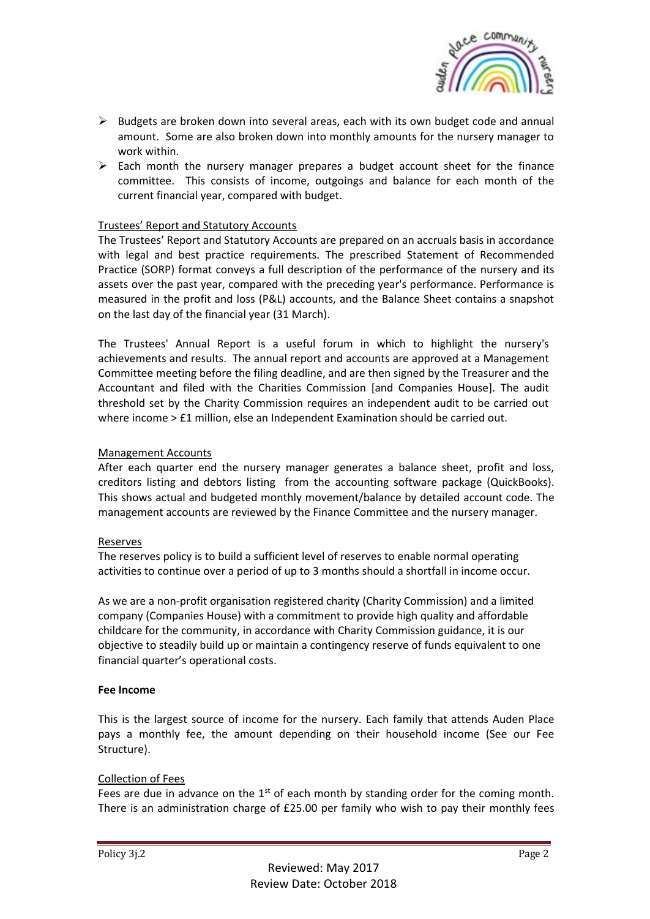

- $\triangleright$  Budgets are broken down into several areas, each with its own budget code and annual amount. Some are also broken down into monthly amounts for the nursery manager to work within.
- $\triangleright$  Each month the nursery manager prepares a budget account sheet for the finance committee. This consists of income, outgoings and balance for each month of the current financial year, compared with budget.

### Trustees' Report and Statutory Accounts

The Trustees' Report and Statutory Accounts are prepared on an accruals basis in accordance with legal and best practice requirements. The prescribed Statement of Recommended Practice (SORP) format conveys a full description of the performance of the nursery and its assets over the past year, compared with the preceding year's performance. Performance is measured in the profit and loss (P&L) accounts, and the Balance Sheet contains a snapshot on the last day of the financial year (31 March).

The Trustees' Annual Report is a useful forum in which to highlight the nursery's achievements and results. The annual report and accounts are approved at a Management Committee meeting before the filing deadline, and are then signed by the Treasurer and the Accountant and filed with the Charities Commission [and Companies House]. The audit threshold set by the Charity Commission requires an independent audit to be carried out where income > £1 million, else an Independent Examination should be carried out.

# Management Accounts

After each quarter end the nursery manager generates a balance sheet, profit and loss, creditors listing and debtors listing from the accounting software package (QuickBooks). This shows actual and budgeted monthly movement/balance by detailed account code. The management accounts are reviewed by the Finance Committee and the nursery manager.

### Reserves

The reserves policy is to build a sufficient level of reserves to enable normal operating activities to continue over a period of up to 3 months should a shortfall in income occur.

As we are a non-profit organisation registered charity (Charity Commission) and a limited company (Companies House) with a commitment to provide high quality and affordable childcare for the community, in accordance with Charity Commission guidance, it is our objective to steadily build up or maintain a contingency reserve of funds equivalent to one financial quarter's operational costs.

### **Fee Income**

This is the largest source of income for the nursery. Each family that attends Auden Place pays a monthly fee, the amount depending on their household income (See our Fee Structure).

# Collection of Fees

Fees are due in advance on the  $1<sup>st</sup>$  of each month by standing order for the coming month. There is an administration charge of £25.00 per family who wish to pay their monthly fees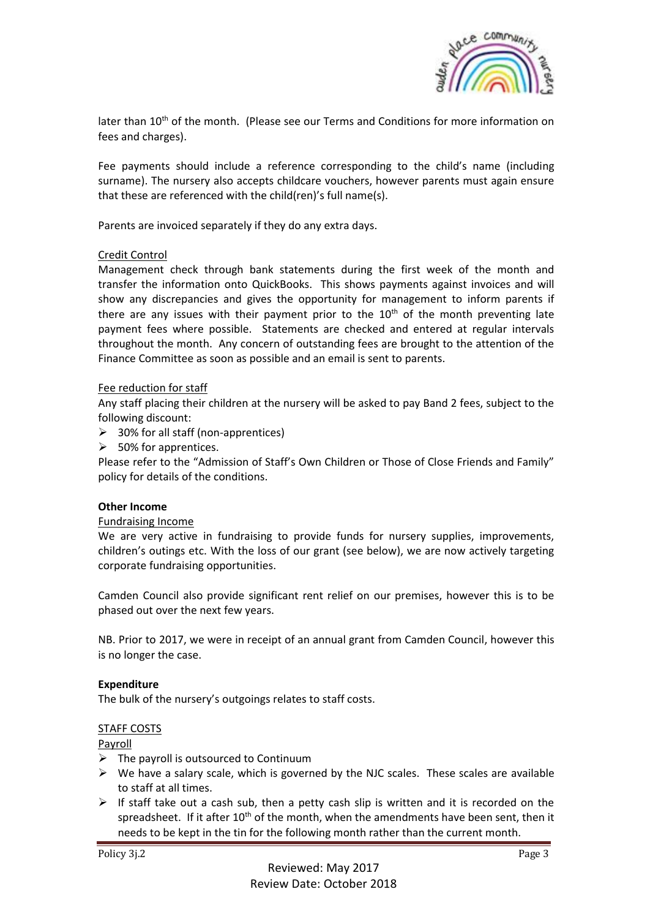

later than  $10<sup>th</sup>$  of the month. (Please see our Terms and Conditions for more information on fees and charges).

Fee payments should include a reference corresponding to the child's name (including surname). The nursery also accepts childcare vouchers, however parents must again ensure that these are referenced with the child(ren)'s full name(s).

Parents are invoiced separately if they do any extra days.

#### Credit Control

Management check through bank statements during the first week of the month and transfer the information onto QuickBooks. This shows payments against invoices and will show any discrepancies and gives the opportunity for management to inform parents if there are any issues with their payment prior to the  $10<sup>th</sup>$  of the month preventing late payment fees where possible. Statements are checked and entered at regular intervals throughout the month. Any concern of outstanding fees are brought to the attention of the Finance Committee as soon as possible and an email is sent to parents.

#### Fee reduction for staff

Any staff placing their children at the nursery will be asked to pay Band 2 fees, subject to the following discount:

- $\geq$  30% for all staff (non-apprentices)
- $\triangleright$  50% for apprentices.

Please refer to the "Admission of Staff's Own Children or Those of Close Friends and Family" policy for details of the conditions.

#### **Other Income**

#### Fundraising Income

We are very active in fundraising to provide funds for nursery supplies, improvements, children's outings etc. With the loss of our grant (see below), we are now actively targeting corporate fundraising opportunities.

Camden Council also provide significant rent relief on our premises, however this is to be phased out over the next few years.

NB. Prior to 2017, we were in receipt of an annual grant from Camden Council, however this is no longer the case.

#### **Expenditure**

The bulk of the nursery's outgoings relates to staff costs.

#### STAFF COSTS

#### Payroll

- $\triangleright$  The payroll is outsourced to Continuum
- $\triangleright$  We have a salary scale, which is governed by the NJC scales. These scales are available to staff at all times.
- $\triangleright$  If staff take out a cash sub, then a petty cash slip is written and it is recorded on the spreadsheet. If it after  $10<sup>th</sup>$  of the month, when the amendments have been sent, then it needs to be kept in the tin for the following month rather than the current month.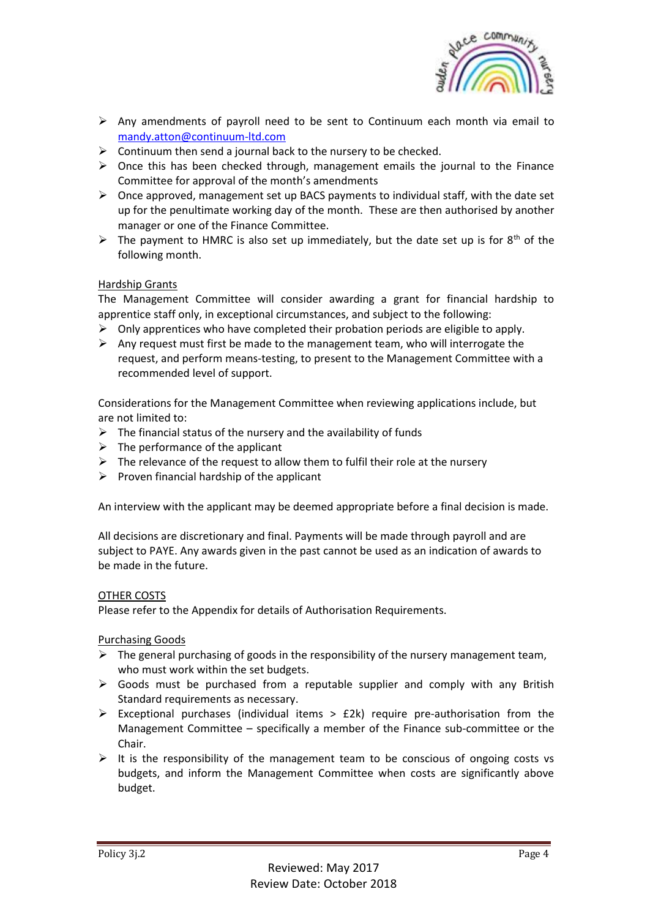

- $\triangleright$  Any amendments of payroll need to be sent to Continuum each month via email to [mandy.atton@continuum-ltd.com](mailto:mandy.atton@continuum-ltd.com)
- $\triangleright$  Continuum then send a journal back to the nursery to be checked.
- $\triangleright$  Once this has been checked through, management emails the journal to the Finance Committee for approval of the month's amendments
- $\triangleright$  Once approved, management set up BACS payments to individual staff, with the date set up for the penultimate working day of the month. These are then authorised by another manager or one of the Finance Committee.
- $\triangleright$  The payment to HMRC is also set up immediately, but the date set up is for 8<sup>th</sup> of the following month.

# Hardship Grants

The Management Committee will consider awarding a grant for financial hardship to apprentice staff only, in exceptional circumstances, and subject to the following:

- $\triangleright$  Only apprentices who have completed their probation periods are eligible to apply.
- $\triangleright$  Any request must first be made to the management team, who will interrogate the request, and perform means-testing, to present to the Management Committee with a recommended level of support.

Considerations for the Management Committee when reviewing applications include, but are not limited to:

- $\triangleright$  The financial status of the nursery and the availability of funds
- $\triangleright$  The performance of the applicant
- $\triangleright$  The relevance of the request to allow them to fulfil their role at the nursery
- $\triangleright$  Proven financial hardship of the applicant

An interview with the applicant may be deemed appropriate before a final decision is made.

All decisions are discretionary and final. Payments will be made through payroll and are subject to PAYE. Any awards given in the past cannot be used as an indication of awards to be made in the future.

# OTHER COSTS

Please refer to the Appendix for details of Authorisation Requirements.

Purchasing Goods

- $\triangleright$  The general purchasing of goods in the responsibility of the nursery management team, who must work within the set budgets.
- $\triangleright$  Goods must be purchased from a reputable supplier and comply with any British Standard requirements as necessary.
- Exceptional purchases (individual items  $>$  £2k) require pre-authorisation from the Management Committee – specifically a member of the Finance sub-committee or the Chair.
- $\triangleright$  It is the responsibility of the management team to be conscious of ongoing costs vs budgets, and inform the Management Committee when costs are significantly above budget.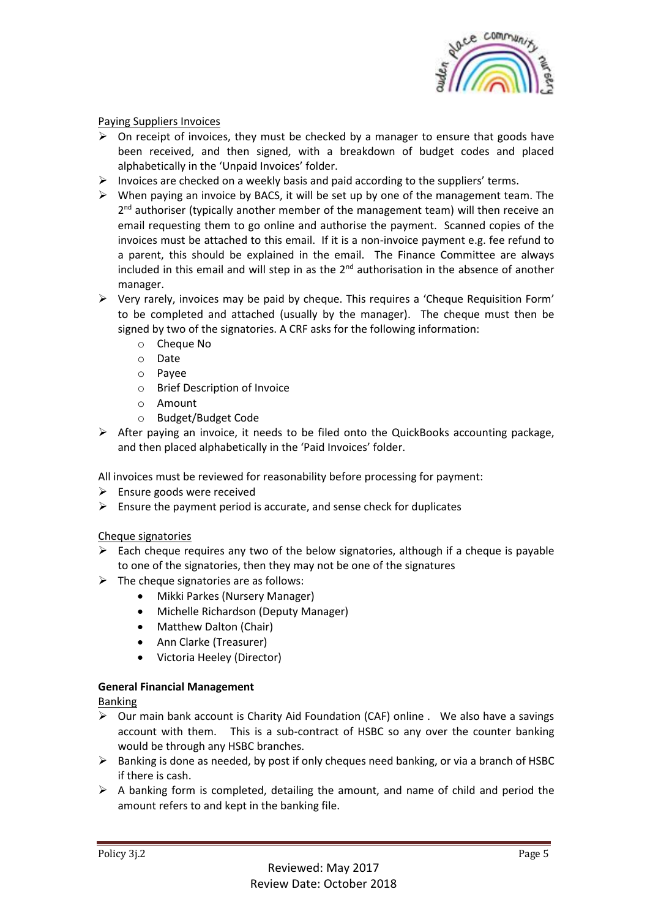

# Paying Suppliers Invoices

- $\triangleright$  On receipt of invoices, they must be checked by a manager to ensure that goods have been received, and then signed, with a breakdown of budget codes and placed alphabetically in the 'Unpaid Invoices' folder.
- $\triangleright$  Invoices are checked on a weekly basis and paid according to the suppliers' terms.
- $\triangleright$  When paying an invoice by BACS, it will be set up by one of the management team. The 2<sup>nd</sup> authoriser (typically another member of the management team) will then receive an email requesting them to go online and authorise the payment. Scanned copies of the invoices must be attached to this email. If it is a non-invoice payment e.g. fee refund to a parent, this should be explained in the email. The Finance Committee are always included in this email and will step in as the  $2^{nd}$  authorisation in the absence of another manager.
- $\triangleright$  Very rarely, invoices may be paid by cheque. This requires a 'Cheque Requisition Form' to be completed and attached (usually by the manager). The cheque must then be signed by two of the signatories. A CRF asks for the following information:
	- o Cheque No
	- o Date
	- o Payee
	- o Brief Description of Invoice
	- o Amount
	- o Budget/Budget Code
- $\triangleright$  After paying an invoice, it needs to be filed onto the QuickBooks accounting package, and then placed alphabetically in the 'Paid Invoices' folder.

All invoices must be reviewed for reasonability before processing for payment:

- $\triangleright$  Ensure goods were received
- $\triangleright$  Ensure the payment period is accurate, and sense check for duplicates

### Cheque signatories

- $\triangleright$  Each cheque requires any two of the below signatories, although if a cheque is payable to one of the signatories, then they may not be one of the signatures
- $\triangleright$  The cheque signatories are as follows:
	- Mikki Parkes (Nursery Manager)
	- Michelle Richardson (Deputy Manager)
	- Matthew Dalton (Chair)
	- Ann Clarke (Treasurer)
	- Victoria Heeley (Director)

# **General Financial Management**

Banking

- $\triangleright$  Our main bank account is Charity Aid Foundation (CAF) online . We also have a savings account with them. This is a sub-contract of HSBC so any over the counter banking would be through any HSBC branches.
- $\triangleright$  Banking is done as needed, by post if only cheques need banking, or via a branch of HSBC if there is cash.
- $\triangleright$  A banking form is completed, detailing the amount, and name of child and period the amount refers to and kept in the banking file.